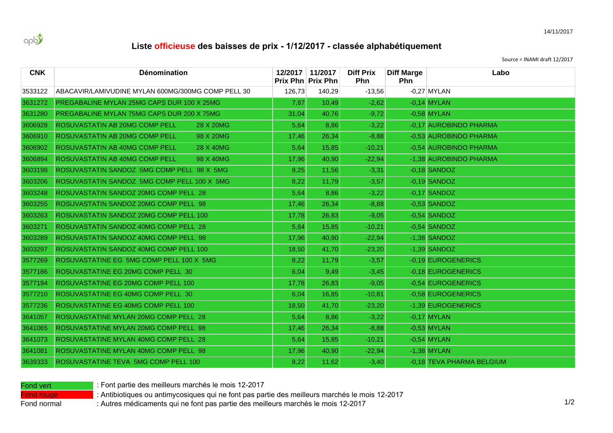

## Liste officieuse des baisses de prix - 1/12/2017 - classée alphabétiquement

Source = INAMI draft 12/2017

| <b>CNK</b> | Dénomination                                       |        | 12/2017 11/2017<br>Prix Phn Prix Phn | <b>Diff Prix</b><br><b>Phn</b> | <b>Diff Marge</b><br><b>Phn</b> | Labo                      |
|------------|----------------------------------------------------|--------|--------------------------------------|--------------------------------|---------------------------------|---------------------------|
| 3533122    | ABACAVIR/LAMIVUDINE MYLAN 600MG/300MG COMP PELL 30 | 126,73 | 140,29                               | $-13,56$                       |                                 | $-0,27$ MYLAN             |
| 3631272    | PREGABALINE MYLAN 25MG CAPS DUR 100 X 25MG         | 7,87   | 10,49                                | $-2,62$                        |                                 | $-0,14$ MYLAN             |
| 3631280    | PREGABALINE MYLAN 75MG CAPS DUR 200 X 75MG         | 31.04  | 40,76                                | $-9,72$                        |                                 | $-0.58$ MYLAN             |
| 3606928    | ROSUVASTATIN AB 20MG COMP PELL<br>28 X 20MG        | 5,64   | 8,86                                 | $-3,22$                        |                                 | -0.17 AUROBINDO PHARMA    |
| 3606910    | ROSUVASTATIN AB 20MG COMP PELL<br>98 X 20MG        | 17,46  | 26,34                                | $-8,88$                        |                                 | -0.53 AUROBINDO PHARMA    |
| 3606902    | ROSUVASTATIN AB 40MG COMP PELL<br>28 X 40MG        | 5,64   | 15,85                                | $-10,21$                       |                                 | -0,54 AUROBINDO PHARMA    |
| 3606894    | ROSUVASTATIN AB 40MG COMP PELL<br>98 X 40MG        | 17,96  | 40,90                                | $-22,94$                       |                                 | -1,38 AUROBINDO PHARMA    |
| 3603198    | ROSUVASTATIN SANDOZ 5MG COMP PELL 98 X 5MG         | 8,25   | 11,56                                | $-3,31$                        |                                 | $-0,18$ SANDOZ            |
| 3603206    | ROSUVASTATIN SANDOZ 5MG COMP PELL 100 X 5MG        | 8,22   | 11,79                                | $-3,57$                        |                                 | $-0.19$ SANDOZ            |
| 3603248    | ROSUVASTATIN SANDOZ 20MG COMP PELL 28              | 5,64   | 8,86                                 | $-3,22$                        |                                 | $-0,17$ SANDOZ            |
| 3603255    | ROSUVASTATIN SANDOZ 20MG COMP PELL 98              | 17,46  | 26,34                                | $-8,88$                        |                                 | $-0.53$ SANDOZ            |
| 3603263    | ROSUVASTATIN SANDOZ 20MG COMP PELL 100             | 17,78  | 26,83                                | $-9,05$                        |                                 | $-0.54$ SANDOZ            |
| 3603271    | ROSUVASTATIN SANDOZ 40MG COMP PELL 28              | 5,64   | 15,85                                | $-10,21$                       |                                 | $-0,54$ SANDOZ            |
| 3603289    | ROSUVASTATIN SANDOZ 40MG COMP PELL 98              | 17,96  | 40,90                                | $-22,94$                       |                                 | $-1,38$ SANDOZ            |
| 3603297    | ROSUVASTATIN SANDOZ 40MG COMP PELL 100             | 18,50  | 41,70                                | $-23,20$                       |                                 | $-1,39$ SANDOZ            |
| 3577269    | ROSUVASTATINE EG 5MG COMP PELL 100 X 5MG           | 8,22   | 11,79                                | $-3.57$                        |                                 | -0.19 EUROGENERICS        |
| 3577186    | ROSUVASTATINE EG 20MG COMP PELL 30                 | 6,04   | 9,49                                 | $-3,45$                        |                                 | -0,18 EUROGENERICS        |
| 3577194    | ROSUVASTATINE EG 20MG COMP PELL 100                | 17.78  | 26,83                                | $-9,05$                        |                                 | -0.54 EUROGENERICS        |
| 3577210    | ROSUVASTATINE EG 40MG COMP PELL 30                 | 6,04   | 16,85                                | $-10,81$                       |                                 | -0,58 EUROGENERICS        |
| 3577236    | ROSUVASTATINE EG 40MG COMP PELL 100                | 18,50  | 41,70                                | $-23,20$                       |                                 | -1,39 EUROGENERICS        |
| 3641057    | ROSUVASTATINE MYLAN 20MG COMP PELL 28              | 5,64   | 8,86                                 | $-3,22$                        |                                 | $-0.17$ MYLAN             |
| 3641065    | ROSUVASTATINE MYLAN 20MG COMP PELL 98              | 17,46  | 26,34                                | $-8,88$                        |                                 | $-0,53$ MYLAN             |
| 3641073    | ROSUVASTATINE MYLAN 40MG COMP PELL 28              | 5,64   | 15,85                                | $-10,21$                       |                                 | $-0.54$ MYLAN             |
| 3641081    | ROSUVASTATINE MYLAN 40MG COMP PELL 98              | 17,96  | 40,90                                | $-22,94$                       |                                 | $-1,38$ MYLAN             |
| 3639333    | ROSUVASTATINE TEVA 5MG COMP PELL 100               | 8,22   | 11,62                                | $-3,40$                        |                                 | -0.18 TEVA PHARMA BELGIUM |

Fond vert **Rowsellers** : Font partie des meilleurs marchés le mois 12-2017

Fond rouge **10WL**ELR Antibiotiques ou antimycosiques qui ne font pas partie des meilleurs marchés le mois 12-2017

Fond normal : Autres médicaments qui ne font pas partie des meilleurs marchés le mois 12-2017